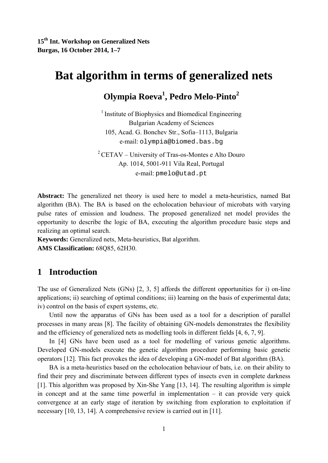# **Bat algorithm in terms of generalized nets**

# **Olympia Roeva1 , Pedro Melo-Pinto2**

<sup>1</sup> Institute of Biophysics and Biomedical Engineering Bulgarian Academy of Sciences 105, Acad. G. Bonchev Str., Sofia–1113, Bulgaria e-mail: olympia@biomed.bas.bg

 $2$  CETAV – University of Tras-os-Montes e Alto Douro Ap. 1014, 5001-911 Vila Real, Portugal e-mail: pmelo@utad.pt

**Abstract:** The generalized net theory is used here to model a meta-heuristics, named Bat algorithm (BA). The BA is based on the echolocation behaviour of microbats with varying pulse rates of emission and loudness. The proposed generalized net model provides the opportunity to describe the logic of BA, executing the algorithm procedure basic steps and realizing an optimal search.

**Keywords:** Generalized nets, Meta-heuristics, Bat algorithm. **AMS Classification:** 68Q85, 62H30.

# **1 Introduction**

The use of Generalized Nets (GNs) [2, 3, 5] affords the different opportunities for i) on-line applications; ii) searching of optimal conditions; iii) learning on the basis of experimental data; iv) control on the basis of expert systems, etc.

Until now the apparatus of GNs has been used as a tool for a description of parallel processes in many areas [8]. The facility of obtaining GN-models demonstrates the flexibility and the efficiency of generalized nets as modelling tools in different fields [4, 6, 7, 9].

In [4] GNs have been used as a tool for modelling of various genetic algorithms. Developed GN-models execute the genetic algorithm procedure performing basic genetic operators [12]. This fact provokes the idea of developing a GN-model of Bat algorithm (BA).

BA is a meta-heuristics based on the echolocation behaviour of bats, i.e. on their ability to find their prey and discriminate between different types of insects even in complete darkness [1]. This algorithm was proposed by Xin-She Yang [13, 14]. The resulting algorithm is simple in concept and at the same time powerful in implementation  $-$  it can provide very quick convergence at an early stage of iteration by switching from exploration to exploitation if necessary [10, 13, 14]. A comprehensive review is carried out in [11].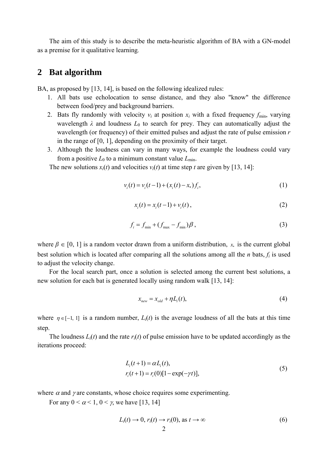The aim of this study is to describe the meta-heuristic algorithm of BA with a GN-model as a premise for it qualitative learning*.*

#### **2 Bat algorithm**

BA, as proposed by [13, 14], is based on the following idealized rules:

- 1. All bats use echolocation to sense distance, and they also "know" the difference between food/prey and background barriers.
- 2. Bats fly randomly with velocity  $v_i$  at position  $x_i$  with a fixed frequency  $f_{\min}$ , varying wavelength  $\lambda$  and loudness  $L_0$  to search for prey. They can automatically adjust the wavelength (or frequency) of their emitted pulses and adjust the rate of pulse emission *r* in the range of [0, 1], depending on the proximity of their target.
- 3. Although the loudness can vary in many ways, for example the loudness could vary from a positive  $L_0$  to a minimum constant value  $L_{min}$ .

The new solutions  $x_i(t)$  and velocities  $v_i(t)$  at time step *t* are given by [13, 14]:

$$
v_i(t) = v_i(t-1) + (x_i(t) - x_*)f_i,
$$
\n(1)

$$
x_i(t) = x_i(t-1) + v_i(t),
$$
 (2)

$$
f_i = f_{\min} + (f_{\max} - f_{\min})\beta, \qquad (3)
$$

where  $\beta \in [0, 1]$  is a random vector drawn from a uniform distribution,  $x_*$  is the current global best solution which is located after comparing all the solutions among all the *n* bats, *fi* is used to adjust the velocity change.

For the local search part, once a solution is selected among the current best solutions, a new solution for each bat is generated locally using random walk [13, 14]:

$$
x_{new} = x_{old} + \eta L_i(t),\tag{4}
$$

where  $\eta \in [-1, 1]$  is a random number,  $L_i(t)$  is the average loudness of all the bats at this time step.

The loudness  $L_i(t)$  and the rate  $r_i(t)$  of pulse emission have to be updated accordingly as the iterations proceed:

$$
L_i(t+1) = \alpha L_i(t),
$$
  
\n
$$
r_i(t+1) = r_i(0)[1 - \exp(-\gamma t)],
$$
\n(5)

where  $\alpha$  and  $\gamma$  are constants, whose choice requires some experimenting.

For any  $0 \leq \alpha \leq 1$ ,  $0 \leq \gamma$ , we have [13, 14]

$$
L_i(t) \to 0, r_i(t) \to r_i(0), \text{ as } t \to \infty
$$
 (6)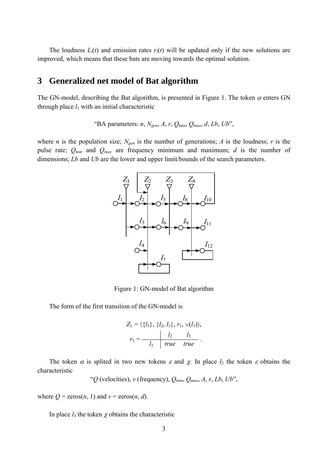The loudness  $L_i(t)$  and emission rates  $r_i(t)$  will be updated only if the new solutions are improved, which means that these bats are moving towards the optimal solution.

## **3 Generalized net model of Bat algorithm**

The GN-model, describing the Bat algorithm, is presented in Figure 1. The token  $\alpha$  enters GN through place  $l_1$  with an initial characteristic

"BA parameters:  $n$ ,  $N_{gen}$ ,  $A$ ,  $r$ ,  $Q_{min}$ ,  $Q_{max}$ ,  $d$ ,  $Lb$ ,  $Ub$ ",

where *n* is the population size;  $N_{gen}$  is the number of generations; *A* is the loudness; *r* is the pulse rate; *Qmin* and *Qmax* are frequency minimum and maximum; *d* is the number of dimensions; *Lb* and *Ub* are the lower and upper limit/bounds of the search parameters.



Figure 1: GN-model of Bat algorithm

The form of the first transition of the GN-model is

$$
Z_1 = \langle \{l_1\}, \{l_2, l_3\}, r_1, \vee (l_1) \rangle, \nr_1 = \frac{l_2}{l_1} \frac{l_3}{true} \cdot \frac{l_4}{true}.
$$

The token  $\alpha$  is splited in two new tokens  $\varepsilon$  and  $\chi$ . In place  $l_2$  the token  $\varepsilon$  obtains the characteristic

" $Q$  (velocities),  $v$  (frequency),  $Q_{min}$ ,  $Q_{max}$ ,  $A$ ,  $r$ ,  $Lb$ ,  $Ub$ ",

where  $Q = \text{zeros}(n, 1)$  and  $v = \text{zeros}(n, d)$ .

In place  $l_3$  the token  $\chi$  obtains the characteristic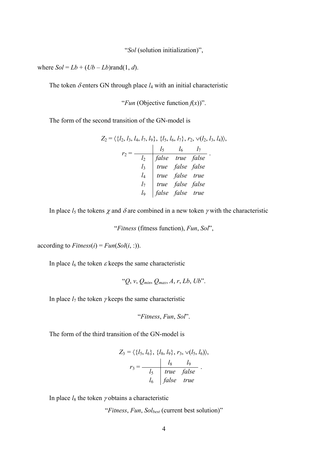"*Sol* (solution initialization)",

where  $Sol = Lb + (Ub - Lb) \text{rand}(1, d)$ .

The token  $\delta$  enters GN through place  $l_4$  with an initial characteristic

"*Fun* (Objective function  $f(x)$ ".

The form of the second transition of the GN-model is

$$
Z_2 = \langle \{l_2, l_3, l_4, l_7, l_9\}, \{l_5, l_6, l_7\}, r_2, \vee (l_2, l_3, l_4)\rangle,
$$
  
\n
$$
r_2 = \frac{l_5}{l_2} \frac{l_6}{false} \frac{l_7}{true} \frac{l_8}{false}
$$
  
\n
$$
l_4 \frac{true}{true} \frac{false}{false} \frac{true}{true}
$$
  
\n
$$
l_7 \frac{true}{true} \frac{false}{false} \frac{false}{false}
$$
  
\n
$$
l_9 \frac{false}{false} \frac{false}{false} \frac{true}{true}
$$

In place  $l_5$  the tokens  $\chi$  and  $\delta$  are combined in a new token  $\gamma$  with the characteristic

"*Fitness* (fitness function), *Fun*, *Sol*",

according to  $Fitness(i) = Fun(Sol(i, :))$ .

In place  $l_6$  the token  $\varepsilon$  keeps the same characteristic

"*Q*, *v*, *Qmin*, *Qmax*, *A*, *r*, *Lb*, *Ub*".

In place  $l_7$  the token  $\gamma$  keeps the same characteristic

"*Fitness*, *Fun*, *Sol*".

The form of the third transition of the GN-model is

$$
Z_3 = \langle \{l_5, l_6\}, \{l_8, l_9\}, r_3, \sqrt{l_5, l_6}\rangle \rangle,
$$
  

$$
r_3 = \frac{l_8}{l_5} \frac{l_9}{\text{true false}}.
$$
  

$$
l_6 \text{false true}
$$

In place  $l_8$  the token  $\gamma$  obtains a characteristic

"*Fitness*, *Fun*, *Solbest* (current best solution)"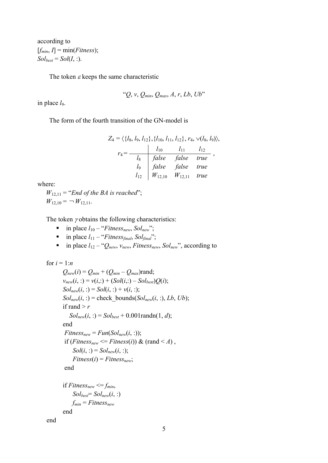according to  $[f_{min}, I] = min(Fitness);$  $Sol_{best} = Sol(I, :).$ 

The token  $\varepsilon$  keeps the same characteristic

$$
``Q, v, Q_{min}, Q_{max}, A, r, Lb, Ub"
$$

in place  $l_9$ .

The form of the fourth transition of the GN-model is

$$
Z_4 = \langle \{l_8, l_9, l_{12}\}, \{l_{10}, l_{11}, l_{12}\}, r_4, \vee (l_8, l_9) \rangle,
$$
  

$$
r_4 = \frac{l_{10} \qquad l_{11} \qquad l_{12}}{l_8 \qquad false \qquad false \qquad true},
$$
  

$$
l_9 \qquad false \qquad false \qquad true
$$
  

$$
l_{12} \qquad W_{12,10} \qquad W_{12,11} \qquad true
$$

where:

 $W_{12,11}$  = "*End of the BA is reached*";  $W_{12,10} = -W_{12,11}$ .

The token  $\gamma$  obtains the following characteristics:

- $\blacksquare$  in place  $l_{10}$  "*Fitness<sub>new</sub>*, *Sol<sub>new</sub>*";
- in place  $l_{11}$  "*Fitness<sub>final</sub>*, *Sol<sub>final</sub>*";
- in place  $l_{12} \alpha_{\text{New}}$ ,  $v_{\text{new}}$ ,  $\text{Fitness}_{\text{new}}$ ,  $\text{Sol}_{\text{new}}$ , according to

```
for i = 1:nQ_{new}(i) = Q_{min} + (Q_{min} - Q_{max})rand;
v_{new}(i, :) = v(i, :) + (Sol(i, :) - Sol_{best})Q(i);Sol_{new}(i, :) = Sol(i, :) + v(i, :);Sol_{new}(i, :)= check bounds(Sol_{new}(i, :), Lb, Ub);
if rand >rSol_{new}(i, :) = Sol_{best} + 0.001randn(1, d);
 end 
 Fitness<sub>new</sub> = Fun(Sol<sub>new</sub>(i, :));
 if (Fitness<sub>new</sub> <= Fitness(i)) & (rand < A),
     Sol(i, :) = Sol_{new}(i, :);Fitness(i) = Fitness_{new}; end 
if Fitness_{new} \leq f_{min},
     Sol_{best} = Sol_{new}(i, :)f_{min} = Fitness_{new} end
```
end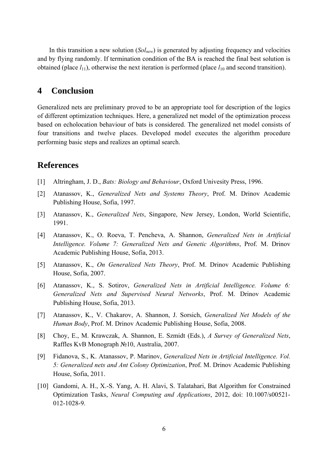In this transition a new solution (*Solnew*) is generated by adjusting frequency and velocities and by flying randomly. If termination condition of the BA is reached the final best solution is obtained (place  $l_{11}$ ), otherwise the next iteration is performed (place  $l_{10}$  and second transition).

#### **4 Conclusion**

Generalized nets are preliminary proved to be an appropriate tool for description of the logics of different optimization techniques. Here, a generalized net model of the optimization process based on echolocation behaviour of bats is considered. The generalized net model consists of four transitions and twelve places. Developed model executes the algorithm procedure performing basic steps and realizes an optimal search.

## **References**

- [1] Altringham, J. D., *Bats: Biology and Behaviour*, Oxford Univesity Press, 1996.
- [2] Atanassov, K., *Generalized Nets and Systems Theory*, Prof. M. Drinov Academic Publishing House, Sofia, 1997.
- [3] Atanassov, K., *Generalized Nets*, Singapore, New Jersey, London, World Scientific, 1991.
- [4] Atanassov, K., O. Roeva, T. Pencheva, A. Shannon, *Generalized Nets in Artificial Intelligence. Volume 7: Generalized Nets and Genetic Algorithms*, Prof. M. Drinov Academic Publishing House, Sofia, 2013.
- [5] Atanassov, K., *On Generalized Nets Theory*, Prof. M. Drinov Academic Publishing House, Sofia, 2007.
- [6] Atanassov, K., S. Sotirov, *Generalized Nets in Artificial Intelligence. Volume 6: Generalized Nets and Supervised Neural Networks*, Prof. M. Drinov Academic Publishing House, Sofia, 2013.
- [7] Atanassov, K., V. Chakarov, A. Shannon, J. Sorsich, *Generalized Net Models of the Human Body*, Prof. M. Drinov Academic Publishing House, Sofia, 2008.
- [8] Choy, E., M. Krawczak, A. Shannon, E. Szmidt (Eds.), *A Survey of Generalized Nets*, Raffles KvB Monograph №10, Australia, 2007.
- [9] Fidanova, S., K. Atanassov, P. Marinov, *Generalized Nets in Artificial Intelligence. Vol. 5: Generalized nets and Ant Colony Optimization*, Prof. M. Drinov Academic Publishing House, Sofia, 2011.
- [10] Gandomi, A. H., X.-S. Yang, A. H. Alavi, S. Talatahari, Bat Algorithm for Constrained Optimization Tasks, *Neural Computing and Applications*, 2012, doi: 10.1007/s00521- 012-1028-9.